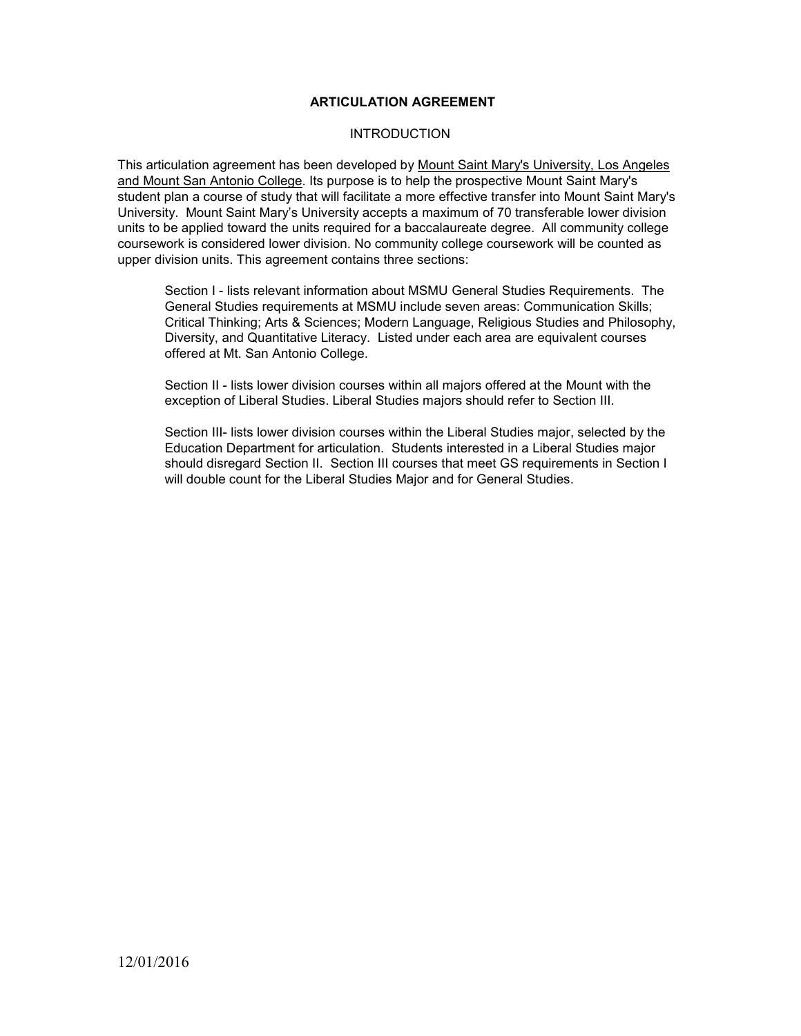#### **ARTICULATION AGREEMENT**

#### **INTRODUCTION**

This articulation agreement has been developed by Mount Saint Mary's University, Los Angeles and Mount San Antonio College. Its purpose is to help the prospective Mount Saint Mary's student plan a course of study that will facilitate a more effective transfer into Mount Saint Mary's University. Mount Saint Mary's University accepts a maximum of 70 transferable lower division units to be applied toward the units required for a baccalaureate degree. All community college coursework is considered lower division. No community college coursework will be counted as upper division units. This agreement contains three sections:

Section I - lists relevant information about MSMU General Studies Requirements. The General Studies requirements at MSMU include seven areas: Communication Skills; Critical Thinking; Arts & Sciences; Modern Language, Religious Studies and Philosophy, Diversity, and Quantitative Literacy. Listed under each area are equivalent courses offered at Mt. San Antonio College.

Section II - lists lower division courses within all majors offered at the Mount with the exception of Liberal Studies. Liberal Studies majors should refer to Section III.

Section III- lists lower division courses within the Liberal Studies major, selected by the Education Department for articulation. Students interested in a Liberal Studies major should disregard Section II. Section III courses that meet GS requirements in Section I will double count for the Liberal Studies Major and for General Studies.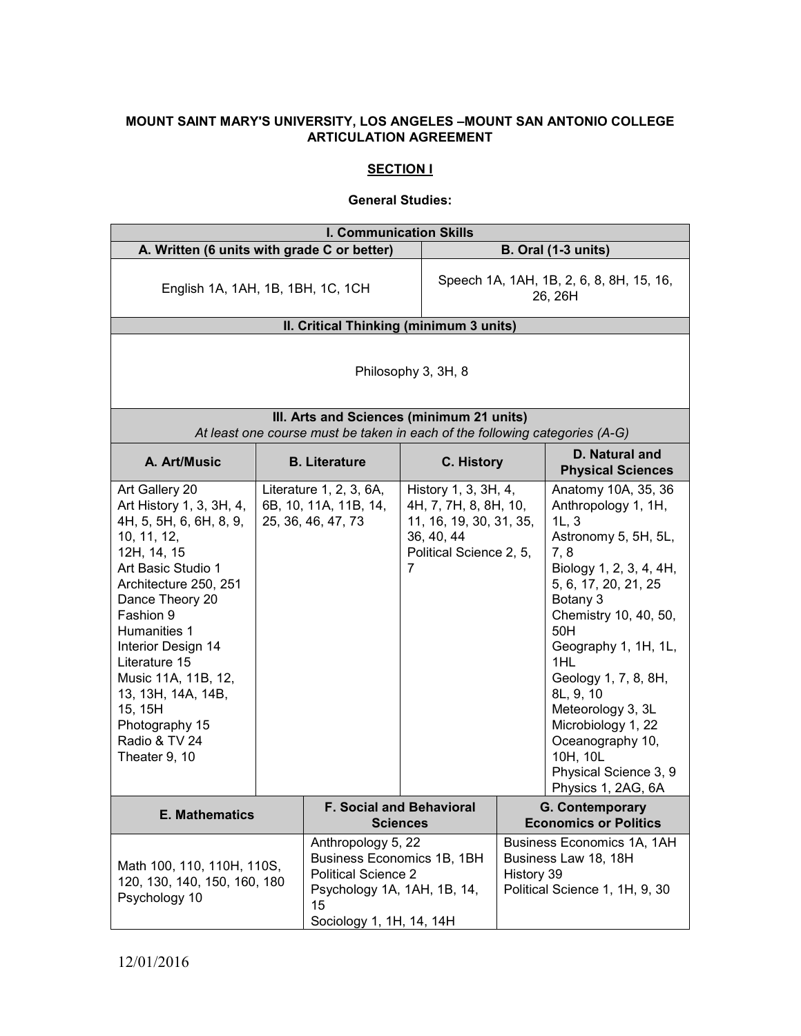### **MOUNT SAINT MARY'S UNIVERSITY, LOS ANGELES –MOUNT SAN ANTONIO COLLEGE ARTICULATION AGREEMENT**

## **SECTION I**

#### **General Studies:**

| <b>I. Communication Skills</b>                                                                                                                                                                                                                                                                                                                        |  |                                                                                                                                           |                                                                                                                        |                            |                                                                                                                                                                                                                                                                                                                                                                                 |
|-------------------------------------------------------------------------------------------------------------------------------------------------------------------------------------------------------------------------------------------------------------------------------------------------------------------------------------------------------|--|-------------------------------------------------------------------------------------------------------------------------------------------|------------------------------------------------------------------------------------------------------------------------|----------------------------|---------------------------------------------------------------------------------------------------------------------------------------------------------------------------------------------------------------------------------------------------------------------------------------------------------------------------------------------------------------------------------|
| A. Written (6 units with grade C or better)                                                                                                                                                                                                                                                                                                           |  |                                                                                                                                           |                                                                                                                        | <b>B. Oral (1-3 units)</b> |                                                                                                                                                                                                                                                                                                                                                                                 |
| English 1A, 1AH, 1B, 1BH, 1C, 1CH                                                                                                                                                                                                                                                                                                                     |  | Speech 1A, 1AH, 1B, 2, 6, 8, 8H, 15, 16,<br>26, 26H                                                                                       |                                                                                                                        |                            |                                                                                                                                                                                                                                                                                                                                                                                 |
|                                                                                                                                                                                                                                                                                                                                                       |  | II. Critical Thinking (minimum 3 units)                                                                                                   |                                                                                                                        |                            |                                                                                                                                                                                                                                                                                                                                                                                 |
| Philosophy 3, 3H, 8<br>III. Arts and Sciences (minimum 21 units)                                                                                                                                                                                                                                                                                      |  |                                                                                                                                           |                                                                                                                        |                            |                                                                                                                                                                                                                                                                                                                                                                                 |
|                                                                                                                                                                                                                                                                                                                                                       |  | At least one course must be taken in each of the following categories (A-G)                                                               |                                                                                                                        |                            |                                                                                                                                                                                                                                                                                                                                                                                 |
| A. Art/Music                                                                                                                                                                                                                                                                                                                                          |  | <b>B.</b> Literature                                                                                                                      | C. History                                                                                                             |                            | D. Natural and<br><b>Physical Sciences</b>                                                                                                                                                                                                                                                                                                                                      |
| Art Gallery 20<br>Art History 1, 3, 3H, 4,<br>4H, 5, 5H, 6, 6H, 8, 9,<br>10, 11, 12,<br>12H, 14, 15<br>Art Basic Studio 1<br>Architecture 250, 251<br>Dance Theory 20<br>Fashion 9<br>Humanities 1<br>Interior Design 14<br>Literature 15<br>Music 11A, 11B, 12,<br>13, 13H, 14A, 14B,<br>15, 15H<br>Photography 15<br>Radio & TV 24<br>Theater 9, 10 |  | Literature 1, 2, 3, 6A,<br>6B, 10, 11A, 11B, 14,<br>25, 36, 46, 47, 73                                                                    | History 1, 3, 3H, 4,<br>4H, 7, 7H, 8, 8H, 10,<br>11, 16, 19, 30, 31, 35,<br>36, 40, 44<br>Political Science 2, 5,<br>7 |                            | Anatomy 10A, 35, 36<br>Anthropology 1, 1H,<br>1L, 3<br>Astronomy 5, 5H, 5L,<br>7,8<br>Biology 1, 2, 3, 4, 4H,<br>5, 6, 17, 20, 21, 25<br>Botany 3<br>Chemistry 10, 40, 50,<br>50H<br>Geography 1, 1H, 1L,<br>1HL<br>Geology 1, 7, 8, 8H,<br>8L, 9, 10<br>Meteorology 3, 3L<br>Microbiology 1, 22<br>Oceanography 10,<br>10H, 10L<br>Physical Science 3, 9<br>Physics 1, 2AG, 6A |
| <b>E. Mathematics</b>                                                                                                                                                                                                                                                                                                                                 |  |                                                                                                                                           | <b>F. Social and Behavioral</b><br><b>Sciences</b>                                                                     |                            | <b>G. Contemporary</b><br><b>Economics or Politics</b>                                                                                                                                                                                                                                                                                                                          |
| Math 100, 110, 110H, 110S,<br>120, 130, 140, 150, 160, 180<br>Psychology 10<br>15                                                                                                                                                                                                                                                                     |  | Anthropology 5, 22<br>Business Economics 1B, 1BH<br><b>Political Science 2</b><br>Psychology 1A, 1AH, 1B, 14,<br>Sociology 1, 1H, 14, 14H |                                                                                                                        | History 39                 | Business Economics 1A, 1AH<br>Business Law 18, 18H<br>Political Science 1, 1H, 9, 30                                                                                                                                                                                                                                                                                            |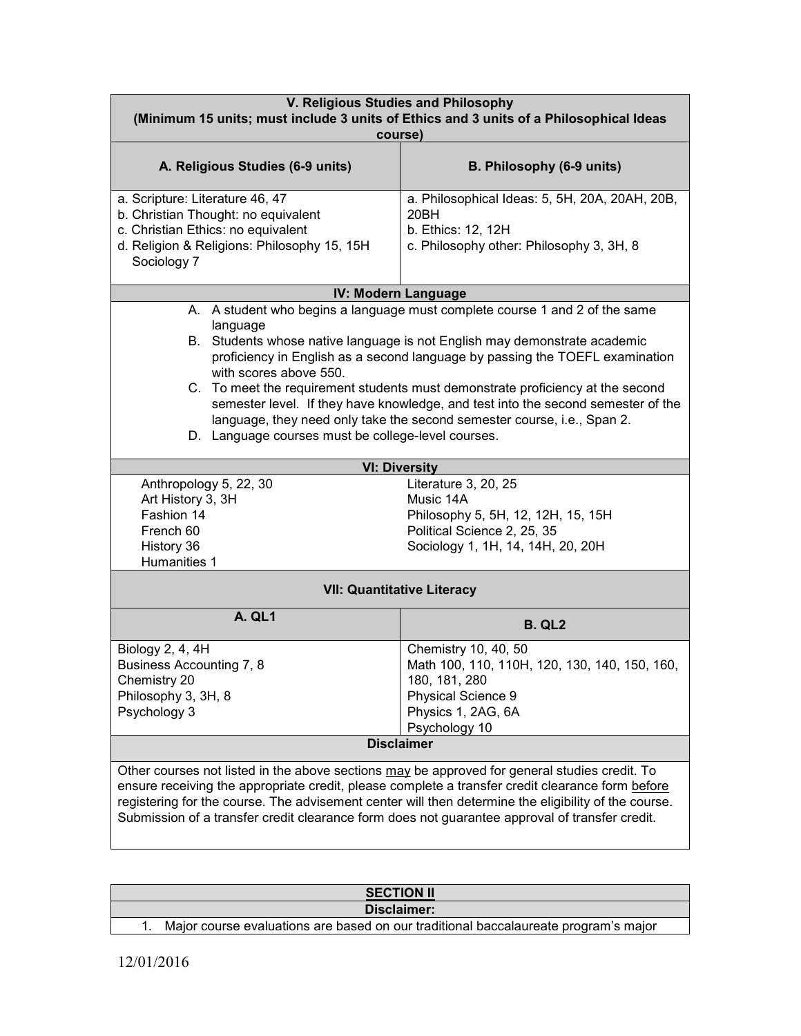| V. Religious Studies and Philosophy<br>(Minimum 15 units; must include 3 units of Ethics and 3 units of a Philosophical Ideas<br>course)                                                                                                                                                                                                                                                                                                                                                                                                                                              |                                                                                                                                                     |  |  |
|---------------------------------------------------------------------------------------------------------------------------------------------------------------------------------------------------------------------------------------------------------------------------------------------------------------------------------------------------------------------------------------------------------------------------------------------------------------------------------------------------------------------------------------------------------------------------------------|-----------------------------------------------------------------------------------------------------------------------------------------------------|--|--|
| A. Religious Studies (6-9 units)                                                                                                                                                                                                                                                                                                                                                                                                                                                                                                                                                      | B. Philosophy (6-9 units)                                                                                                                           |  |  |
| a. Scripture: Literature 46, 47<br>b. Christian Thought: no equivalent<br>c. Christian Ethics: no equivalent<br>d. Religion & Religions: Philosophy 15, 15H<br>Sociology 7                                                                                                                                                                                                                                                                                                                                                                                                            | a. Philosophical Ideas: 5, 5H, 20A, 20AH, 20B,<br>20BH<br>b. Ethics: 12, 12H<br>c. Philosophy other: Philosophy 3, 3H, 8                            |  |  |
|                                                                                                                                                                                                                                                                                                                                                                                                                                                                                                                                                                                       | IV: Modern Language                                                                                                                                 |  |  |
| A. A student who begins a language must complete course 1 and 2 of the same<br>language<br>B. Students whose native language is not English may demonstrate academic<br>proficiency in English as a second language by passing the TOEFL examination<br>with scores above 550.<br>C. To meet the requirement students must demonstrate proficiency at the second<br>semester level. If they have knowledge, and test into the second semester of the<br>language, they need only take the second semester course, i.e., Span 2.<br>D. Language courses must be college-level courses. |                                                                                                                                                     |  |  |
|                                                                                                                                                                                                                                                                                                                                                                                                                                                                                                                                                                                       | <b>VI: Diversity</b>                                                                                                                                |  |  |
| Anthropology 5, 22, 30<br>Art History 3, 3H<br>Fashion 14<br>French 60<br>History 36<br>Humanities 1                                                                                                                                                                                                                                                                                                                                                                                                                                                                                  | Literature 3, 20, 25<br>Music 14A<br>Philosophy 5, 5H, 12, 12H, 15, 15H<br>Political Science 2, 25, 35<br>Sociology 1, 1H, 14, 14H, 20, 20H         |  |  |
|                                                                                                                                                                                                                                                                                                                                                                                                                                                                                                                                                                                       | <b>VII: Quantitative Literacy</b>                                                                                                                   |  |  |
| <b>A. QL1</b>                                                                                                                                                                                                                                                                                                                                                                                                                                                                                                                                                                         | <b>B. QL2</b>                                                                                                                                       |  |  |
| Biology 2, 4, 4H<br>Business Accounting 7, 8<br>Chemistry 20<br>Philosophy 3, 3H, 8<br>Psychology 3                                                                                                                                                                                                                                                                                                                                                                                                                                                                                   | Chemistry 10, 40, 50<br>Math 100, 110, 110H, 120, 130, 140, 150, 160,<br>180, 181, 280<br>Physical Science 9<br>Physics 1, 2AG, 6A<br>Psychology 10 |  |  |
| <b>Disclaimer</b>                                                                                                                                                                                                                                                                                                                                                                                                                                                                                                                                                                     |                                                                                                                                                     |  |  |
| Other courses not listed in the above sections may be approved for general studies credit. To<br>ensure receiving the appropriate credit, please complete a transfer credit clearance form before<br>registering for the course. The advisement center will then determine the eligibility of the course.<br>Submission of a transfer credit clearance form does not guarantee approval of transfer credit.                                                                                                                                                                           |                                                                                                                                                     |  |  |

| <b>SECTION II</b>                                                                   |  |  |  |
|-------------------------------------------------------------------------------------|--|--|--|
| Disclaimer:                                                                         |  |  |  |
| Major course evaluations are based on our traditional baccalaureate program's major |  |  |  |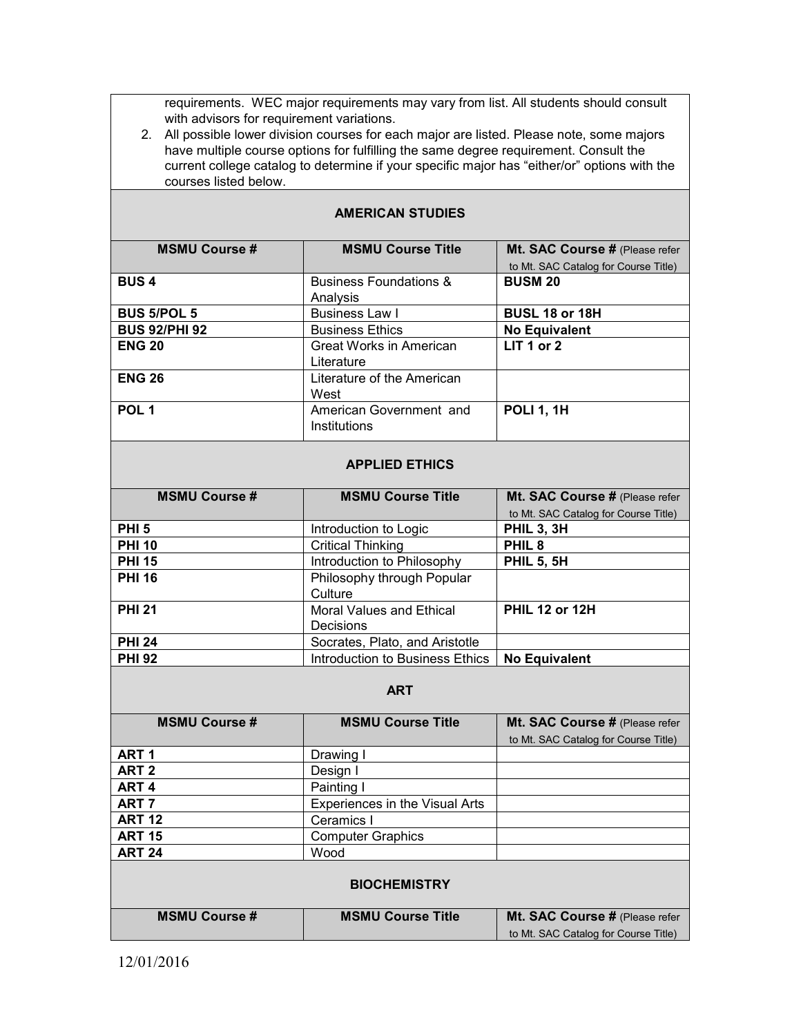requirements. WEC major requirements may vary from list. All students should consult with advisors for requirement variations.

2. All possible lower division courses for each major are listed. Please note, some majors have multiple course options for fulfilling the same degree requirement. Consult the current college catalog to determine if your specific major has "either/or" options with the courses listed below.

| <b>MSMU Course #</b> | <b>MSMU Course Title</b>          | Mt. SAC Course # (Please refer       |
|----------------------|-----------------------------------|--------------------------------------|
|                      |                                   | to Mt. SAC Catalog for Course Title) |
| <b>BUS4</b>          | <b>Business Foundations &amp;</b> | <b>BUSM 20</b>                       |
|                      | Analysis                          |                                      |
| <b>BUS 5/POL 5</b>   | <b>Business Law I</b>             | BUSL 18 or 18H                       |
| <b>BUS 92/PHI 92</b> | <b>Business Ethics</b>            | <b>No Equivalent</b>                 |
| <b>ENG 20</b>        | <b>Great Works in American</b>    | LIT 1 or 2                           |
|                      | Literature                        |                                      |
| <b>ENG 26</b>        | Literature of the American        |                                      |
|                      | West                              |                                      |
| POL <sub>1</sub>     | American Government and           | <b>POLI 1, 1H</b>                    |
|                      | Institutions                      |                                      |
|                      |                                   |                                      |
|                      | <b>APPLIED ETHICS</b>             |                                      |
| <b>MSMU Course #</b> | <b>MSMU Course Title</b>          | Mt. SAC Course # (Please refer       |
|                      |                                   | to Mt. SAC Catalog for Course Title) |
| PHI <sub>5</sub>     | Introduction to Logic             | <b>PHIL 3, 3H</b>                    |
| <b>PHI 10</b>        | <b>Critical Thinking</b>          | PHIL <sub>8</sub>                    |
| <b>PHI 15</b>        | Introduction to Philosophy        | <b>PHIL 5, 5H</b>                    |
| <b>PHI 16</b>        | Philosophy through Popular        |                                      |
|                      | Culture                           |                                      |
| <b>PHI 21</b>        | <b>Moral Values and Ethical</b>   | <b>PHIL 12 or 12H</b>                |
|                      | Decisions                         |                                      |
| <b>PHI 24</b>        | Socrates, Plato, and Aristotle    |                                      |
| <b>PHI 92</b>        | Introduction to Business Ethics   | <b>No Equivalent</b>                 |
|                      |                                   |                                      |
|                      | <b>ART</b>                        |                                      |
| <b>MSMU Course #</b> | <b>MSMU Course Title</b>          | Mt. SAC Course # (Please refer       |
|                      |                                   | to Mt. SAC Catalog for Course Title) |
| ART <sub>1</sub>     | Drawing I                         |                                      |
| ART <sub>2</sub>     | Design I                          |                                      |

## **AMERICAN STUDIES**

| <b>MSMU Course #</b> | <b>MSMU Course Title</b>       | Mt. SAC Course # (Please refer       |  |  |
|----------------------|--------------------------------|--------------------------------------|--|--|
|                      |                                | to Mt. SAC Catalog for Course Title) |  |  |
| ART <sub>1</sub>     | Drawing I                      |                                      |  |  |
| ART 2                | Design I                       |                                      |  |  |
| ART <sub>4</sub>     | Painting I                     |                                      |  |  |
| ART 7                | Experiences in the Visual Arts |                                      |  |  |
| <b>ART 12</b>        | Ceramics I                     |                                      |  |  |
| <b>ART 15</b>        | <b>Computer Graphics</b>       |                                      |  |  |
| <b>ART 24</b>        | Wood                           |                                      |  |  |
| <b>BIOCHEMISTRY</b>  |                                |                                      |  |  |

| <b>MSMU Course #</b> | <b>MSMU Course Title</b> | Mt. SAC Course # (Please refer       |
|----------------------|--------------------------|--------------------------------------|
|                      |                          | to Mt. SAC Catalog for Course Title) |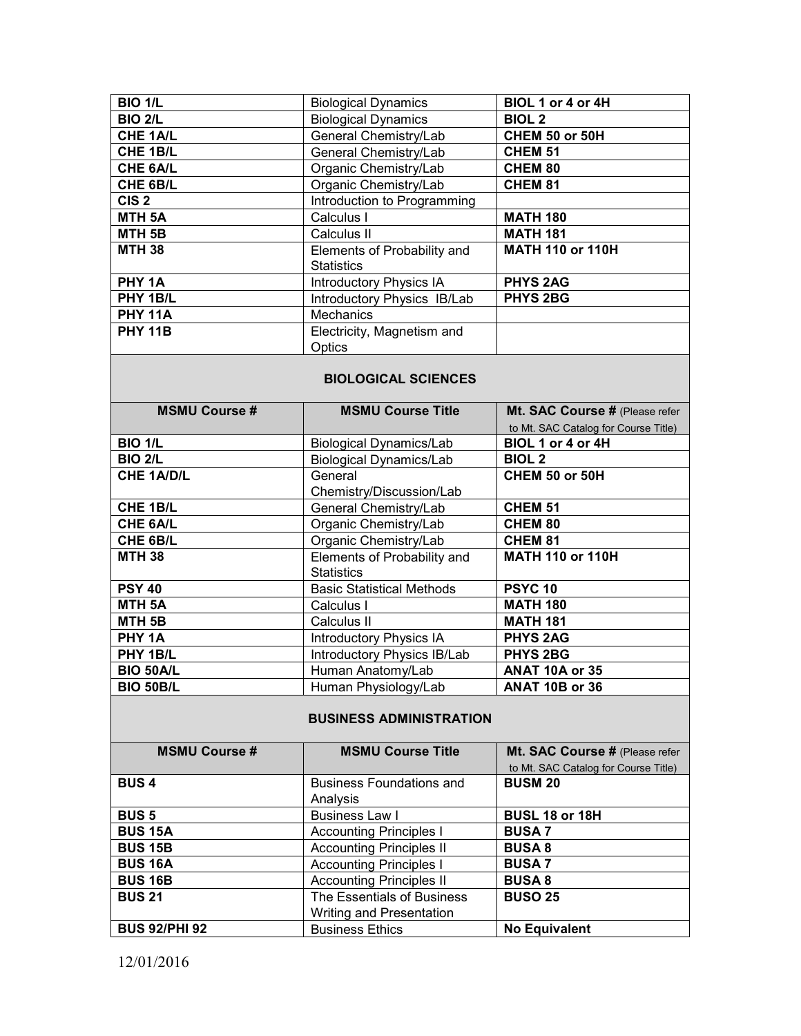| <b>BIO 1/L</b>    | <b>Biological Dynamics</b>     | BIOL 1 or 4 or 4H       |
|-------------------|--------------------------------|-------------------------|
| <b>BIO 2/L</b>    | <b>Biological Dynamics</b>     | <b>BIOL 2</b>           |
| CHE 1A/L          | General Chemistry/Lab          | CHEM 50 or 50H          |
| CHE 1B/L          | General Chemistry/Lab          | <b>CHEM 51</b>          |
| CHE 6A/L          | Organic Chemistry/Lab          | <b>CHEM 80</b>          |
| CHE 6B/L          | Organic Chemistry/Lab          | <b>CHEM 81</b>          |
| CIS <sub>2</sub>  | Introduction to Programming    |                         |
| MTH <sub>5A</sub> | Calculus I                     | <b>MATH 180</b>         |
| MTH <sub>5B</sub> | Calculus II                    | <b>MATH 181</b>         |
| <b>MTH 38</b>     | Elements of Probability and    | <b>MATH 110 or 110H</b> |
|                   | <b>Statistics</b>              |                         |
| PHY 1A            | <b>Introductory Physics IA</b> | <b>PHYS 2AG</b>         |
| PHY 1B/L          | Introductory Physics IB/Lab    | <b>PHYS 2BG</b>         |
| <b>PHY 11A</b>    | <b>Mechanics</b>               |                         |
| <b>PHY 11B</b>    | Electricity, Magnetism and     |                         |
|                   | Optics                         |                         |

#### **BIOLOGICAL SCIENCES**

| <b>MSMU Course #</b> | <b>MSMU Course Title</b>         | Mt. SAC Course # (Please refer       |
|----------------------|----------------------------------|--------------------------------------|
|                      |                                  | to Mt. SAC Catalog for Course Title) |
| <b>BIO 1/L</b>       | <b>Biological Dynamics/Lab</b>   | BIOL 1 or 4 or 4H                    |
| <b>BIO 2/L</b>       | <b>Biological Dynamics/Lab</b>   | <b>BIOL 2</b>                        |
| <b>CHE 1A/D/L</b>    | General                          | <b>CHEM 50 or 50H</b>                |
|                      | Chemistry/Discussion/Lab         |                                      |
| <b>CHE 1B/L</b>      | General Chemistry/Lab            | <b>CHEM 51</b>                       |
| <b>CHE 6A/L</b>      | Organic Chemistry/Lab            | <b>CHEM 80</b>                       |
| CHE 6B/L             | Organic Chemistry/Lab            | <b>CHEM 81</b>                       |
| <b>MTH 38</b>        | Elements of Probability and      | <b>MATH 110 or 110H</b>              |
|                      | <b>Statistics</b>                |                                      |
| <b>PSY 40</b>        | <b>Basic Statistical Methods</b> | <b>PSYC 10</b>                       |
| <b>MTH 5A</b>        | Calculus I                       | <b>MATH 180</b>                      |
| MTH <sub>5B</sub>    | Calculus II                      | <b>MATH 181</b>                      |
| PHY 1A               | <b>Introductory Physics IA</b>   | <b>PHYS 2AG</b>                      |
| PHY 1B/L             | Introductory Physics IB/Lab      | <b>PHYS 2BG</b>                      |
| <b>BIO 50A/L</b>     | Human Anatomy/Lab                | ANAT 10A or 35                       |
| <b>BIO 50B/L</b>     | Human Physiology/Lab             | <b>ANAT 10B or 36</b>                |

# **BUSINESS ADMINISTRATION**

| <b>MSMU Course #</b> | <b>MSMU Course Title</b>        | Mt. SAC Course # (Please refer       |
|----------------------|---------------------------------|--------------------------------------|
|                      |                                 | to Mt. SAC Catalog for Course Title) |
| <b>BUS4</b>          | <b>Business Foundations and</b> | <b>BUSM 20</b>                       |
|                      | Analysis                        |                                      |
| <b>BUS 5</b>         | <b>Business Law I</b>           | <b>BUSL 18 or 18H</b>                |
| <b>BUS 15A</b>       | <b>Accounting Principles I</b>  | <b>BUSA7</b>                         |
| <b>BUS 15B</b>       | <b>Accounting Principles II</b> | <b>BUSA 8</b>                        |
| <b>BUS 16A</b>       | <b>Accounting Principles I</b>  | <b>BUSA7</b>                         |
| <b>BUS 16B</b>       | <b>Accounting Principles II</b> | <b>BUSA 8</b>                        |
| <b>BUS 21</b>        | The Essentials of Business      | <b>BUSO 25</b>                       |
|                      | Writing and Presentation        |                                      |
| <b>BUS 92/PHI 92</b> | <b>Business Ethics</b>          | <b>No Equivalent</b>                 |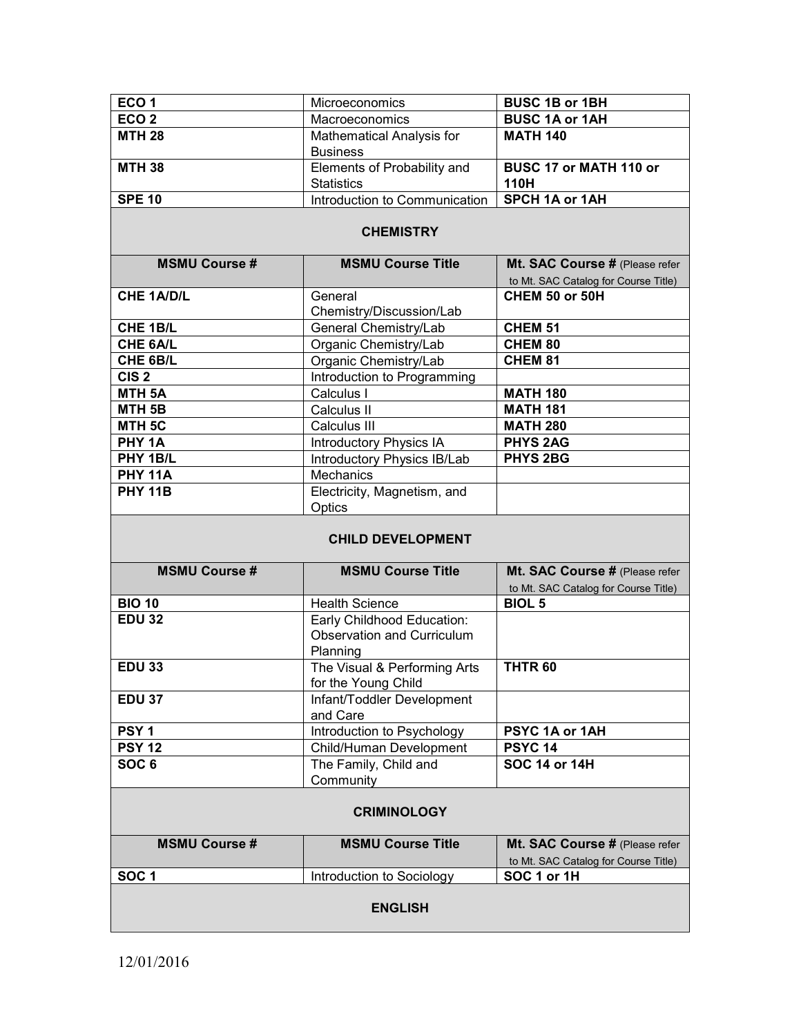| ECO <sub>1</sub> | <b>Microeconomics</b>            | <b>BUSC 1B or 1BH</b>  |
|------------------|----------------------------------|------------------------|
| ECO <sub>2</sub> | Macroeconomics                   | <b>BUSC 1A or 1AH</b>  |
| <b>MTH 28</b>    | <b>Mathematical Analysis for</b> | <b>MATH 140</b>        |
|                  | <b>Business</b>                  |                        |
| <b>MTH 38</b>    | Elements of Probability and      | BUSC 17 or MATH 110 or |
|                  | <b>Statistics</b>                | 110H                   |
| <b>SPE 10</b>    | Introduction to Communication    | <b>SPCH 1A or 1AH</b>  |

### **CHEMISTRY**

| <b>MSMU Course #</b> | <b>MSMU Course Title</b>       | Mt. SAC Course # (Please refer       |
|----------------------|--------------------------------|--------------------------------------|
|                      |                                | to Mt. SAC Catalog for Course Title) |
| <b>CHE 1A/D/L</b>    | General                        | CHEM 50 or 50H                       |
|                      | Chemistry/Discussion/Lab       |                                      |
| <b>CHE 1B/L</b>      | General Chemistry/Lab          | <b>CHEM 51</b>                       |
| <b>CHE 6A/L</b>      | Organic Chemistry/Lab          | <b>CHEM 80</b>                       |
| CHE 6B/L             | Organic Chemistry/Lab          | <b>CHEM 81</b>                       |
| CIS <sub>2</sub>     | Introduction to Programming    |                                      |
| MTH <sub>5A</sub>    | Calculus I                     | <b>MATH 180</b>                      |
| MTH <sub>5B</sub>    | Calculus II                    | <b>MATH 181</b>                      |
| MTH <sub>5C</sub>    | Calculus III                   | <b>MATH 280</b>                      |
| PHY 1A               | <b>Introductory Physics IA</b> | <b>PHYS 2AG</b>                      |
| PHY 1B/L             | Introductory Physics IB/Lab    | <b>PHYS 2BG</b>                      |
| <b>PHY 11A</b>       | <b>Mechanics</b>               |                                      |
| <b>PHY 11B</b>       | Electricity, Magnetism, and    |                                      |
|                      | Optics                         |                                      |

### **CHILD DEVELOPMENT**

| <b>MSMU Course #</b> | <b>MSMU Course Title</b>          | Mt. SAC Course # (Please refer       |  |
|----------------------|-----------------------------------|--------------------------------------|--|
|                      |                                   | to Mt. SAC Catalog for Course Title) |  |
| <b>BIO 10</b>        | <b>Health Science</b>             | <b>BIOL 5</b>                        |  |
| <b>EDU 32</b>        | Early Childhood Education:        |                                      |  |
|                      | <b>Observation and Curriculum</b> |                                      |  |
|                      | Planning                          |                                      |  |
| <b>EDU 33</b>        | The Visual & Performing Arts      | THTR <sub>60</sub>                   |  |
|                      | for the Young Child               |                                      |  |
| <b>EDU 37</b>        | Infant/Toddler Development        |                                      |  |
|                      | and Care                          |                                      |  |
| PSY <sub>1</sub>     | Introduction to Psychology        | <b>PSYC 1A or 1AH</b>                |  |
| <b>PSY 12</b>        | Child/Human Development           | <b>PSYC 14</b>                       |  |
| SOC <sub>6</sub>     | The Family, Child and             | SOC 14 or 14H                        |  |
|                      | Community                         |                                      |  |
| <b>CRIMINOLOGY</b>   |                                   |                                      |  |
| <b>MSMU Course #</b> | <b>MSMU Course Title</b>          | Mt. SAC Course # (Please refer       |  |

to Mt. SAC Catalog for Course Title)<br>SOC 1 or 1H **SOC 1** Introduction to Sociology **ENGLISH**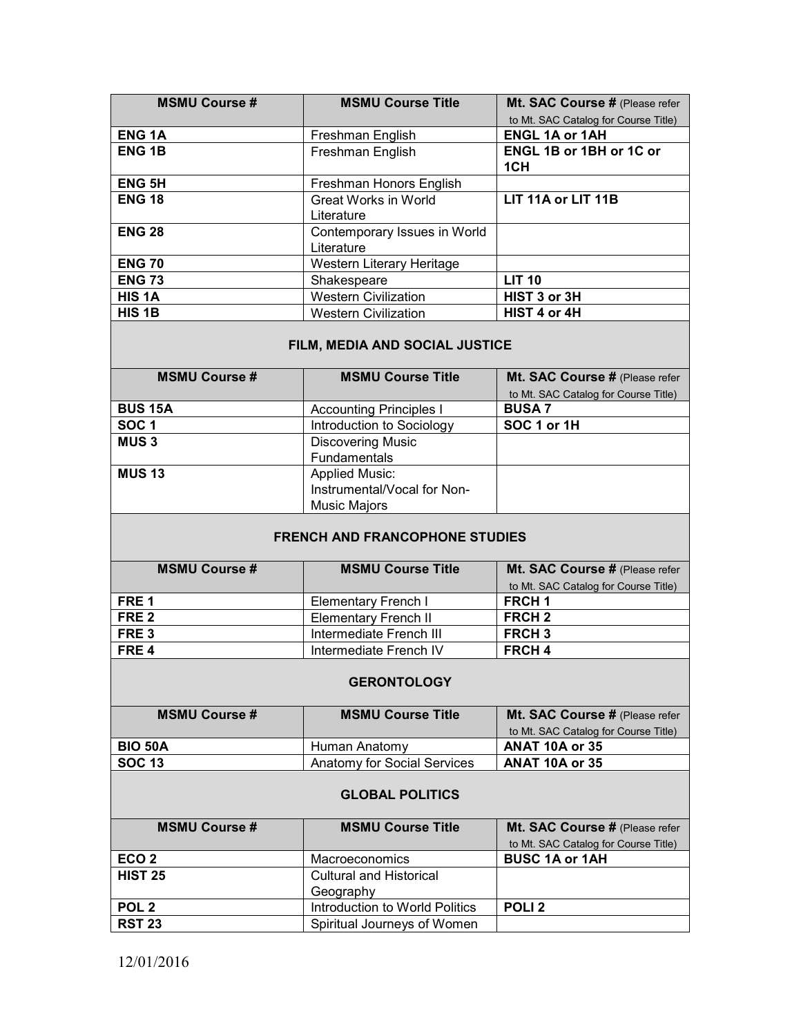| <b>MSMU Course #</b> | <b>MSMU Course Title</b>     | Mt. SAC Course # (Please refer        |
|----------------------|------------------------------|---------------------------------------|
|                      |                              | to Mt. SAC Catalog for Course Title)  |
| <b>ENG1A</b>         | Freshman English             | <b>ENGL 1A or 1AH</b>                 |
| <b>ENG1B</b>         | Freshman English             | <b>ENGL 1B or 1BH or 1C or</b><br>1CH |
| <b>ENG 5H</b>        | Freshman Honors English      |                                       |
| <b>ENG 18</b>        | Great Works in World         | LIT 11A or LIT 11B                    |
|                      | Literature                   |                                       |
| <b>ENG 28</b>        | Contemporary Issues in World |                                       |
|                      | Literature                   |                                       |
| <b>ENG 70</b>        | Western Literary Heritage    |                                       |
| <b>ENG 73</b>        | Shakespeare                  | <b>LIT 10</b>                         |
| HIS <sub>1</sub> A   | <b>Western Civilization</b>  | HIST 3 or 3H                          |
| HIS 1B               | <b>Western Civilization</b>  | HIST 4 or 4H                          |

## **FILM, MEDIA AND SOCIAL JUSTICE**

| <b>MSMU Course #</b> | <b>MSMU Course Title</b>       | Mt. SAC Course # (Please refer       |
|----------------------|--------------------------------|--------------------------------------|
|                      |                                | to Mt. SAC Catalog for Course Title) |
| <b>BUS 15A</b>       | <b>Accounting Principles I</b> | <b>BUSA7</b>                         |
| SOC <sub>1</sub>     | Introduction to Sociology      | SOC 1 or 1H                          |
| <b>MUS3</b>          | <b>Discovering Music</b>       |                                      |
|                      | Fundamentals                   |                                      |
| <b>MUS 13</b>        | <b>Applied Music:</b>          |                                      |
|                      | Instrumental/Vocal for Non-    |                                      |
|                      | <b>Music Majors</b>            |                                      |

## **FRENCH AND FRANCOPHONE STUDIES**

| <b>MSMU Course #</b> | <b>MSMU Course Title</b>    | Mt. SAC Course # (Please refer       |
|----------------------|-----------------------------|--------------------------------------|
|                      |                             | to Mt. SAC Catalog for Course Title) |
| FRE <sub>1</sub>     | Elementary French I         | <b>FRCH 1</b>                        |
| FRE 2                | <b>Elementary French II</b> | FRCH <sub>2</sub>                    |
| FRE <sub>3</sub>     | Intermediate French III     | <b>FRCH3</b>                         |
| FRE4                 | Intermediate French IV      | <b>FRCH4</b>                         |
|                      |                             |                                      |

#### **GERONTOLOGY**

| <b>MSMU Course #</b> | <b>MSMU Course Title</b>    | Mt. SAC Course # (Please refer       |
|----------------------|-----------------------------|--------------------------------------|
|                      |                             | to Mt. SAC Catalog for Course Title) |
| <b>BIO 50A</b>       | Human Anatomy               | <b>ANAT 10A or 35</b>                |
| <b>SOC 13</b>        | Anatomy for Social Services | <b>ANAT 10A or 35</b>                |

#### **GLOBAL POLITICS**

| <b>MSMU Course #</b> | <b>MSMU Course Title</b>       | Mt. SAC Course # (Please refer       |
|----------------------|--------------------------------|--------------------------------------|
|                      |                                | to Mt. SAC Catalog for Course Title) |
| ECO <sub>2</sub>     | Macroeconomics                 | <b>BUSC 1A or 1AH</b>                |
| <b>HIST 25</b>       | <b>Cultural and Historical</b> |                                      |
|                      | Geography                      |                                      |
| POL <sub>2</sub>     | Introduction to World Politics | POLI <sub>2</sub>                    |
| <b>RST 23</b>        | Spiritual Journeys of Women    |                                      |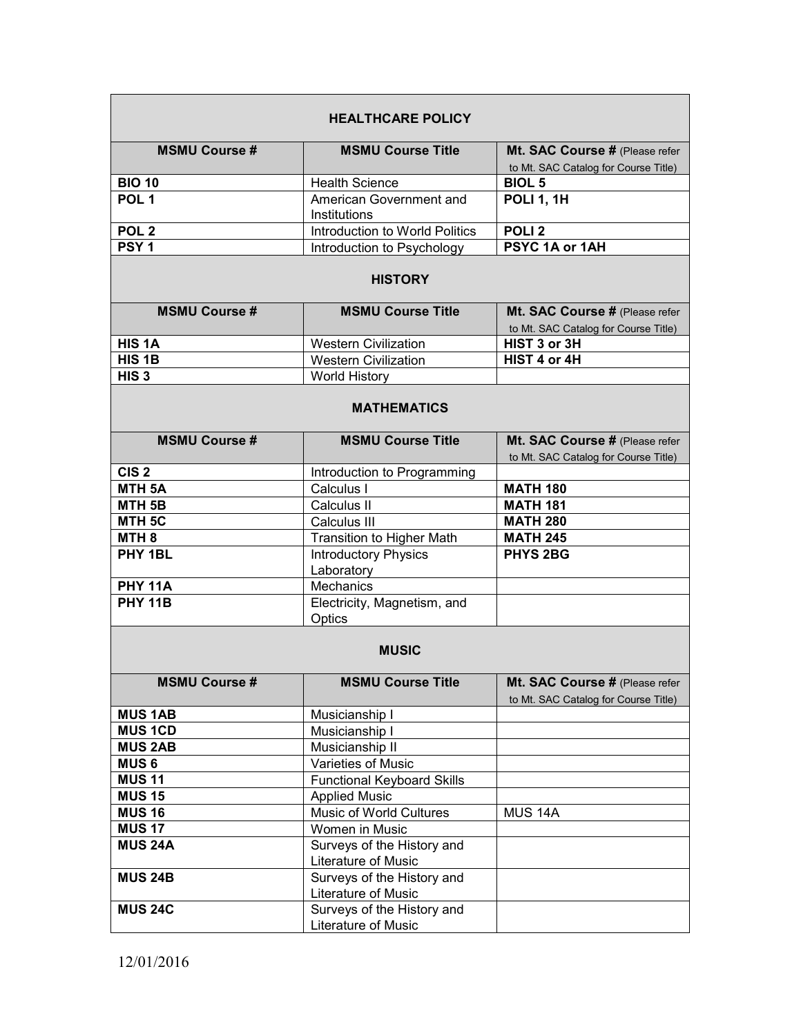| <b>HEALTHCARE POLICY</b> |                                                   |                                                                        |
|--------------------------|---------------------------------------------------|------------------------------------------------------------------------|
| <b>MSMU Course#</b>      | <b>MSMU Course Title</b>                          | Mt. SAC Course # (Please refer<br>to Mt. SAC Catalog for Course Title) |
| <b>BIO 10</b>            | <b>Health Science</b>                             | <b>BIOL 5</b>                                                          |
| POL <sub>1</sub>         | American Government and                           | <b>POLI 1, 1H</b>                                                      |
|                          | Institutions                                      |                                                                        |
| POL <sub>2</sub>         | Introduction to World Politics                    | POLI <sub>2</sub>                                                      |
| PSY <sub>1</sub>         | Introduction to Psychology                        | PSYC 1A or 1AH                                                         |
|                          | <b>HISTORY</b>                                    |                                                                        |
| <b>MSMU Course #</b>     | <b>MSMU Course Title</b>                          | Mt. SAC Course # (Please refer<br>to Mt. SAC Catalog for Course Title) |
| HIS <sub>1</sub> A       | <b>Western Civilization</b>                       | HIST 3 or 3H                                                           |
| HIS <sub>1B</sub>        | <b>Western Civilization</b>                       | HIST 4 or 4H                                                           |
| HIS <sub>3</sub>         | <b>World History</b>                              |                                                                        |
| <b>MATHEMATICS</b>       |                                                   |                                                                        |
| <b>MSMU Course #</b>     | <b>MSMU Course Title</b>                          | Mt. SAC Course # (Please refer<br>to Mt. SAC Catalog for Course Title) |
| CIS <sub>2</sub>         | Introduction to Programming                       |                                                                        |
| <b>MTH 5A</b>            | Calculus I                                        | <b>MATH 180</b>                                                        |
| MTH <sub>5B</sub>        | Calculus II                                       | <b>MATH 181</b>                                                        |
| MTH <sub>5C</sub>        | Calculus III                                      | <b>MATH 280</b>                                                        |
| MTH <sub>8</sub>         | <b>Transition to Higher Math</b>                  | <b>MATH 245</b>                                                        |
| PHY 1BL                  | <b>Introductory Physics</b>                       | <b>PHYS 2BG</b>                                                        |
|                          | Laboratory                                        |                                                                        |
| <b>PHY 11A</b>           | Mechanics                                         |                                                                        |
| <b>PHY 11B</b>           | Electricity, Magnetism, and<br>Optics             |                                                                        |
|                          | <b>MUSIC</b>                                      |                                                                        |
| <b>MSMU Course #</b>     | <b>MSMU Course Title</b>                          | Mt. SAC Course # (Please refer<br>to Mt. SAC Catalog for Course Title) |
| <b>MUS 1AB</b>           | Musicianship I                                    |                                                                        |
| <b>MUS 1CD</b>           | Musicianship I                                    |                                                                        |
| <b>MUS 2AB</b>           | Musicianship II                                   |                                                                        |
| <b>MUS6</b>              | Varieties of Music                                |                                                                        |
| <b>MUS 11</b>            | <b>Functional Keyboard Skills</b>                 |                                                                        |
| <b>MUS 15</b>            | <b>Applied Music</b>                              |                                                                        |
| <b>MUS 16</b>            | Music of World Cultures                           | MUS <sub>14A</sub>                                                     |
| <b>MUS 17</b>            | Women in Music                                    |                                                                        |
| <b>MUS 24A</b>           | Surveys of the History and                        |                                                                        |
|                          | Literature of Music                               |                                                                        |
| <b>MUS 24B</b>           | Surveys of the History and                        |                                                                        |
|                          | Literature of Music                               |                                                                        |
| <b>MUS 24C</b>           | Surveys of the History and<br>Literature of Music |                                                                        |
|                          |                                                   |                                                                        |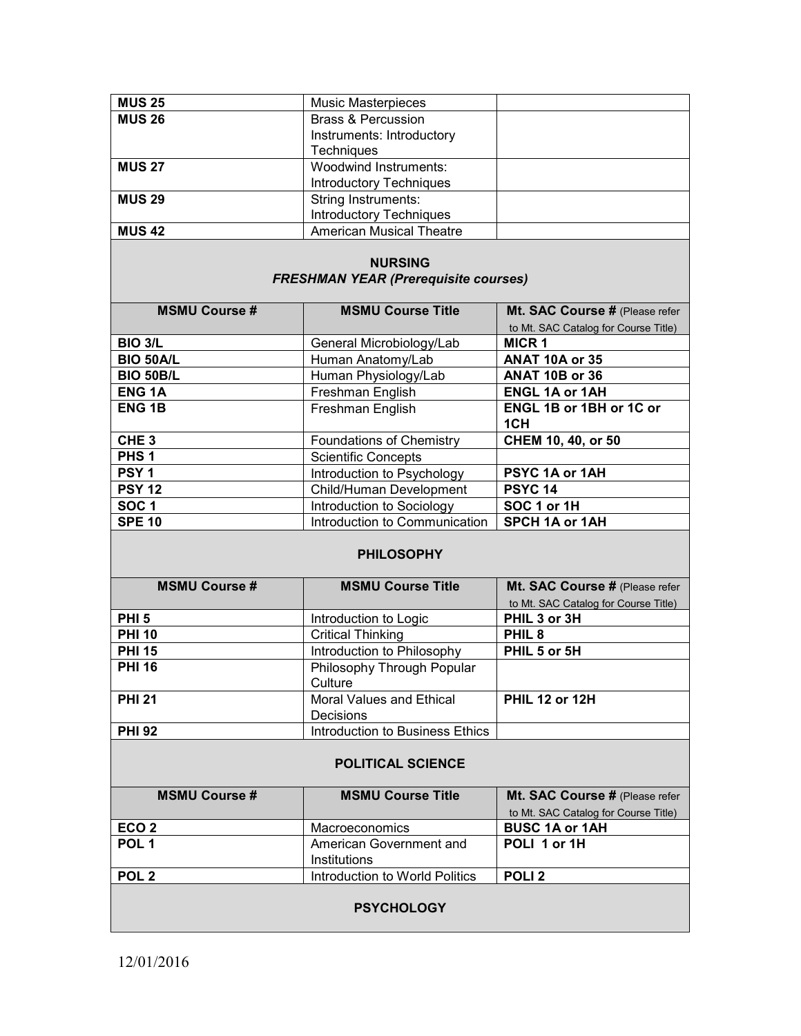| <b>MUS 25</b> | <b>Music Masterpieces</b>       |  |
|---------------|---------------------------------|--|
| <b>MUS 26</b> | <b>Brass &amp; Percussion</b>   |  |
|               | Instruments: Introductory       |  |
|               | <b>Techniques</b>               |  |
| <b>MUS 27</b> | Woodwind Instruments:           |  |
|               | <b>Introductory Techniques</b>  |  |
| <b>MUS 29</b> | <b>String Instruments:</b>      |  |
|               | <b>Introductory Techniques</b>  |  |
| <b>MUS 42</b> | <b>American Musical Theatre</b> |  |

## **NURSING**  *FRESHMAN YEAR (Prerequisite courses)*

| <b>MSMU Course#</b>     | <b>MSMU Course Title</b>      | Mt. SAC Course # (Please refer       |
|-------------------------|-------------------------------|--------------------------------------|
|                         |                               | to Mt. SAC Catalog for Course Title) |
| <b>BIO 3/L</b>          | General Microbiology/Lab      | <b>MICR 1</b>                        |
| <b>BIO 50A/L</b>        | Human Anatomy/Lab             | ANAT 10A or 35                       |
| <b>BIO 50B/L</b>        | Human Physiology/Lab          | <b>ANAT 10B or 36</b>                |
| <b>ENG<sub>1</sub>A</b> | Freshman English              | <b>ENGL 1A or 1AH</b>                |
| <b>ENG 1B</b>           | Freshman English              | <b>ENGL 1B or 1BH or 1C or</b>       |
|                         |                               | 1CH                                  |
| CHE <sub>3</sub>        | Foundations of Chemistry      | CHEM 10, 40, or 50                   |
| PHS <sub>1</sub>        | <b>Scientific Concepts</b>    |                                      |
| PSY <sub>1</sub>        | Introduction to Psychology    | PSYC 1A or 1AH                       |
| <b>PSY 12</b>           | Child/Human Development       | <b>PSYC 14</b>                       |
| <b>SOC1</b>             | Introduction to Sociology     | SOC 1 or 1H                          |
| <b>SPE 10</b>           | Introduction to Communication | <b>SPCH 1A or 1AH</b>                |

#### **PHILOSOPHY**

| <b>MSMU Course #</b> | <b>MSMU Course Title</b>        | Mt. SAC Course # (Please refer       |
|----------------------|---------------------------------|--------------------------------------|
|                      |                                 | to Mt. SAC Catalog for Course Title) |
| PHI <sub>5</sub>     | Introduction to Logic           | PHIL 3 or 3H                         |
| <b>PHI 10</b>        | <b>Critical Thinking</b>        | PHIL <sub>8</sub>                    |
| <b>PHI 15</b>        | Introduction to Philosophy      | PHIL 5 or 5H                         |
| <b>PHI 16</b>        | Philosophy Through Popular      |                                      |
|                      | Culture                         |                                      |
| <b>PHI 21</b>        | Moral Values and Ethical        | <b>PHIL 12 or 12H</b>                |
|                      | <b>Decisions</b>                |                                      |
| <b>PHI 92</b>        | Introduction to Business Ethics |                                      |

## **POLITICAL SCIENCE**

| <b>MSMU Course #</b> | <b>MSMU Course Title</b>       | Mt. SAC Course # (Please refer       |
|----------------------|--------------------------------|--------------------------------------|
|                      |                                | to Mt. SAC Catalog for Course Title) |
| ECO <sub>2</sub>     | Macroeconomics                 | <b>BUSC 1A or 1AH</b>                |
| POL <sub>1</sub>     | American Government and        | POLI 1 or 1H                         |
|                      | Institutions                   |                                      |
| POL <sub>2</sub>     | Introduction to World Politics | POLI <sub>2</sub>                    |
|                      |                                |                                      |
| <b>PSYCHOLOGY</b>    |                                |                                      |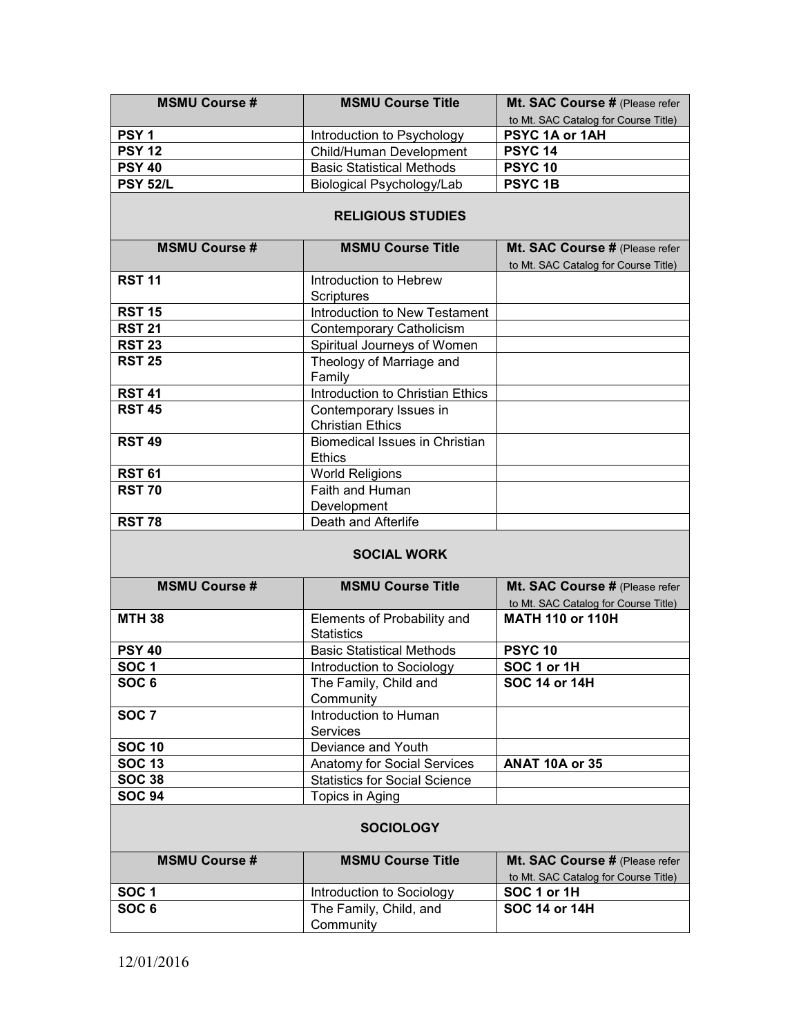| <b>MSMU Course #</b> | <b>MSMU Course Title</b>                            | Mt. SAC Course # (Please refer                      |  |
|----------------------|-----------------------------------------------------|-----------------------------------------------------|--|
|                      |                                                     | to Mt. SAC Catalog for Course Title)                |  |
| PSY <sub>1</sub>     | Introduction to Psychology                          | PSYC 1A or 1AH                                      |  |
| <b>PSY 12</b>        | Child/Human Development                             | <b>PSYC 14</b>                                      |  |
| <b>PSY 40</b>        | <b>Basic Statistical Methods</b>                    | <b>PSYC 10</b>                                      |  |
| <b>PSY 52/L</b>      | <b>Biological Psychology/Lab</b>                    | <b>PSYC1B</b>                                       |  |
|                      | <b>RELIGIOUS STUDIES</b>                            |                                                     |  |
|                      |                                                     |                                                     |  |
| <b>MSMU Course#</b>  | <b>MSMU Course Title</b>                            | Mt. SAC Course # (Please refer                      |  |
| <b>RST 11</b>        | Introduction to Hebrew                              | to Mt. SAC Catalog for Course Title)                |  |
|                      | <b>Scriptures</b>                                   |                                                     |  |
| <b>RST 15</b>        | Introduction to New Testament                       |                                                     |  |
| <b>RST 21</b>        | Contemporary Catholicism                            |                                                     |  |
| <b>RST 23</b>        | Spiritual Journeys of Women                         |                                                     |  |
| <b>RST 25</b>        | Theology of Marriage and                            |                                                     |  |
|                      | Family                                              |                                                     |  |
| <b>RST 41</b>        | Introduction to Christian Ethics                    |                                                     |  |
| <b>RST 45</b>        | Contemporary Issues in                              |                                                     |  |
|                      | <b>Christian Ethics</b>                             |                                                     |  |
| <b>RST 49</b>        | <b>Biomedical Issues in Christian</b>               |                                                     |  |
|                      | <b>Ethics</b>                                       |                                                     |  |
| <b>RST 61</b>        | <b>World Religions</b>                              |                                                     |  |
| <b>RST 70</b>        | Faith and Human                                     |                                                     |  |
|                      | Development                                         |                                                     |  |
| <b>RST 78</b>        | Death and Afterlife                                 |                                                     |  |
|                      | <b>SOCIAL WORK</b>                                  |                                                     |  |
| <b>MSMU Course #</b> | <b>MSMU Course Title</b>                            | Mt. SAC Course # (Please refer                      |  |
|                      |                                                     | to Mt. SAC Catalog for Course Title)                |  |
| <b>MTH 38</b>        | Elements of Probability and<br><b>Statistics</b>    | <b>MATH 110 or 110H</b>                             |  |
| <b>PSY 40</b>        | <b>Basic Statistical Methods</b>                    | <b>PSYC 10</b>                                      |  |
| SOC <sub>1</sub>     | Introduction to Sociology                           | SOC 1 or 1H                                         |  |
| SOC <sub>6</sub>     | The Family, Child and                               | SOC 14 or 14H                                       |  |
|                      | Community                                           |                                                     |  |
| <b>SOC 7</b>         | Introduction to Human                               |                                                     |  |
|                      | <b>Services</b>                                     |                                                     |  |
| <b>SOC 10</b>        | Deviance and Youth                                  |                                                     |  |
| <b>SOC 13</b>        | Anatomy for Social Services                         | <b>ANAT 10A or 35</b>                               |  |
| <b>SOC 38</b>        | <b>Statistics for Social Science</b>                |                                                     |  |
| <b>SOC 94</b>        | Topics in Aging                                     |                                                     |  |
| <b>SOCIOLOGY</b>     |                                                     |                                                     |  |
| <b>MSMU Course #</b> | <b>MSMU Course Title</b>                            | Mt. SAC Course # (Please refer                      |  |
|                      |                                                     |                                                     |  |
|                      |                                                     |                                                     |  |
| SOC <sub>1</sub>     |                                                     | to Mt. SAC Catalog for Course Title)<br>SOC 1 or 1H |  |
| SOC <sub>6</sub>     | Introduction to Sociology<br>The Family, Child, and | <b>SOC 14 or 14H</b>                                |  |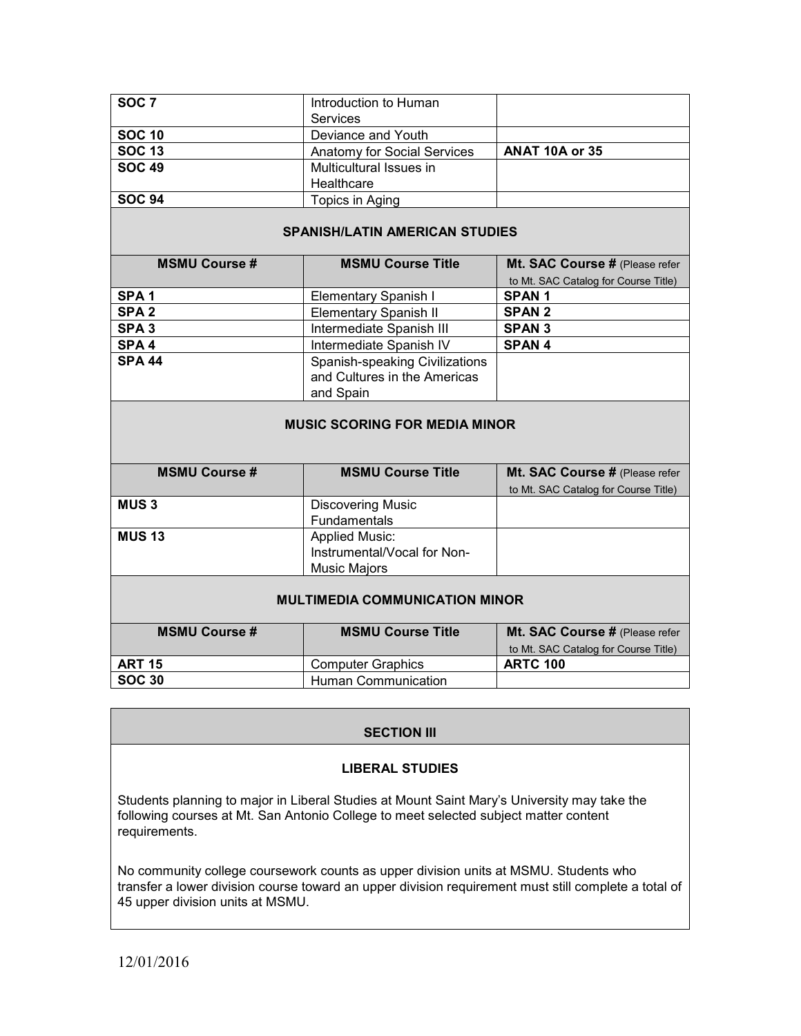| SOC <sub>7</sub> | Introduction to Human       |                       |
|------------------|-----------------------------|-----------------------|
|                  | <b>Services</b>             |                       |
| <b>SOC 10</b>    | Deviance and Youth          |                       |
| <b>SOC 13</b>    | Anatomy for Social Services | <b>ANAT 10A or 35</b> |
| <b>SOC 49</b>    | Multicultural Issues in     |                       |
|                  | Healthcare                  |                       |
| <b>SOC 94</b>    | Topics in Aging             |                       |

### **SPANISH/LATIN AMERICAN STUDIES**

| <b>MSMU Course #</b> | <b>MSMU Course Title</b>       | Mt. SAC Course # (Please refer       |
|----------------------|--------------------------------|--------------------------------------|
|                      |                                | to Mt. SAC Catalog for Course Title) |
| SPA <sub>1</sub>     | Elementary Spanish I           | <b>SPAN1</b>                         |
| SPA <sub>2</sub>     | <b>Elementary Spanish II</b>   | <b>SPAN 2</b>                        |
| SPA <sub>3</sub>     | Intermediate Spanish III       | <b>SPAN 3</b>                        |
| SPA <sub>4</sub>     | Intermediate Spanish IV        | <b>SPAN4</b>                         |
| <b>SPA 44</b>        | Spanish-speaking Civilizations |                                      |
|                      | and Cultures in the Americas   |                                      |
|                      | and Spain                      |                                      |

#### **MUSIC SCORING FOR MEDIA MINOR**

| <b>MSMU Course #</b> | <b>MSMU Course Title</b>    | Mt. SAC Course # (Please refer       |
|----------------------|-----------------------------|--------------------------------------|
|                      |                             | to Mt. SAC Catalog for Course Title) |
| <b>MUS3</b>          | <b>Discovering Music</b>    |                                      |
|                      | Fundamentals                |                                      |
| <b>MUS 13</b>        | <b>Applied Music:</b>       |                                      |
|                      | Instrumental/Vocal for Non- |                                      |
|                      | <b>Music Majors</b>         |                                      |
|                      |                             |                                      |

### **MULTIMEDIA COMMUNICATION MINOR**

| <b>MSMU Course #</b> | <b>MSMU Course Title</b> | Mt. SAC Course # (Please refer       |
|----------------------|--------------------------|--------------------------------------|
|                      |                          | to Mt. SAC Catalog for Course Title) |
| <b>ART 15</b>        | Computer Graphics        | <b>ARTC 100</b>                      |
| <b>SOC 30</b>        | Human Communication      |                                      |

### **SECTION III**

#### **LIBERAL STUDIES**

Students planning to major in Liberal Studies at Mount Saint Mary's University may take the following courses at Mt. San Antonio College to meet selected subject matter content requirements.

No community college coursework counts as upper division units at MSMU. Students who transfer a lower division course toward an upper division requirement must still complete a total of 45 upper division units at MSMU.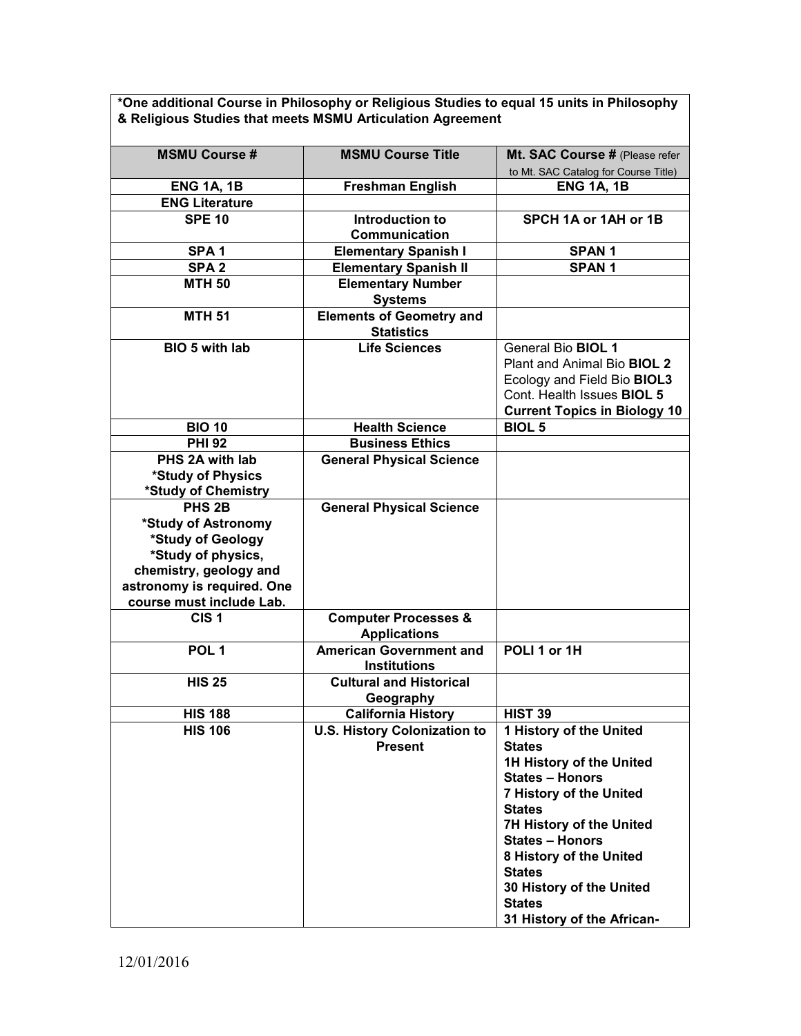**\*One additional Course in Philosophy or Religious Studies to equal 15 units in Philosophy & Religious Studies that meets MSMU Articulation Agreement**

| <b>MSMU Course #</b>                    | <b>MSMU Course Title</b>                             | Mt. SAC Course # (Please refer       |
|-----------------------------------------|------------------------------------------------------|--------------------------------------|
|                                         |                                                      | to Mt. SAC Catalog for Course Title) |
| <b>ENG 1A, 1B</b>                       | <b>Freshman English</b>                              | <b>ENG 1A, 1B</b>                    |
| <b>ENG Literature</b>                   |                                                      |                                      |
| <b>SPE 10</b>                           | Introduction to                                      | SPCH 1A or 1AH or 1B                 |
|                                         | Communication                                        |                                      |
| SPA <sub>1</sub>                        | <b>Elementary Spanish I</b>                          | <b>SPAN1</b>                         |
| SPA <sub>2</sub>                        | <b>Elementary Spanish II</b>                         | <b>SPAN1</b>                         |
| <b>MTH 50</b>                           | <b>Elementary Number</b>                             |                                      |
|                                         | <b>Systems</b>                                       |                                      |
| <b>MTH 51</b>                           | <b>Elements of Geometry and</b><br><b>Statistics</b> |                                      |
| BIO 5 with lab                          | <b>Life Sciences</b>                                 | General Bio BIOL 1                   |
|                                         |                                                      | Plant and Animal Bio BIOL 2          |
|                                         |                                                      | Ecology and Field Bio BIOL3          |
|                                         |                                                      | Cont. Health Issues BIOL 5           |
|                                         |                                                      | <b>Current Topics in Biology 10</b>  |
| <b>BIO 10</b>                           | <b>Health Science</b>                                | <b>BIOL 5</b>                        |
| <b>PHI 92</b>                           | <b>Business Ethics</b>                               |                                      |
| PHS 2A with lab                         | <b>General Physical Science</b>                      |                                      |
| *Study of Physics                       |                                                      |                                      |
| *Study of Chemistry                     |                                                      |                                      |
| PHS <sub>2B</sub>                       | <b>General Physical Science</b>                      |                                      |
| *Study of Astronomy                     |                                                      |                                      |
| *Study of Geology<br>*Study of physics, |                                                      |                                      |
| chemistry, geology and                  |                                                      |                                      |
| astronomy is required. One              |                                                      |                                      |
| course must include Lab.                |                                                      |                                      |
| CIS <sub>1</sub>                        | <b>Computer Processes &amp;</b>                      |                                      |
|                                         | <b>Applications</b>                                  |                                      |
| POL <sub>1</sub>                        | <b>American Government and</b>                       | POLI 1 or 1H                         |
|                                         | <b>Institutions</b>                                  |                                      |
| <b>HIS 25</b>                           | <b>Cultural and Historical</b>                       |                                      |
|                                         | Geography                                            |                                      |
| <b>HIS 188</b>                          | <b>California History</b>                            | <b>HIST 39</b>                       |
| <b>HIS 106</b>                          | <b>U.S. History Colonization to</b>                  | 1 History of the United              |
|                                         | <b>Present</b>                                       | <b>States</b>                        |
|                                         |                                                      | 1H History of the United             |
|                                         |                                                      | <b>States - Honors</b>               |
|                                         |                                                      | 7 History of the United              |
|                                         |                                                      | <b>States</b>                        |
|                                         |                                                      | 7H History of the United             |
|                                         |                                                      | <b>States - Honors</b>               |
|                                         |                                                      | 8 History of the United              |
|                                         |                                                      | <b>States</b>                        |
|                                         |                                                      | 30 History of the United             |
|                                         |                                                      | <b>States</b>                        |
|                                         |                                                      | 31 History of the African-           |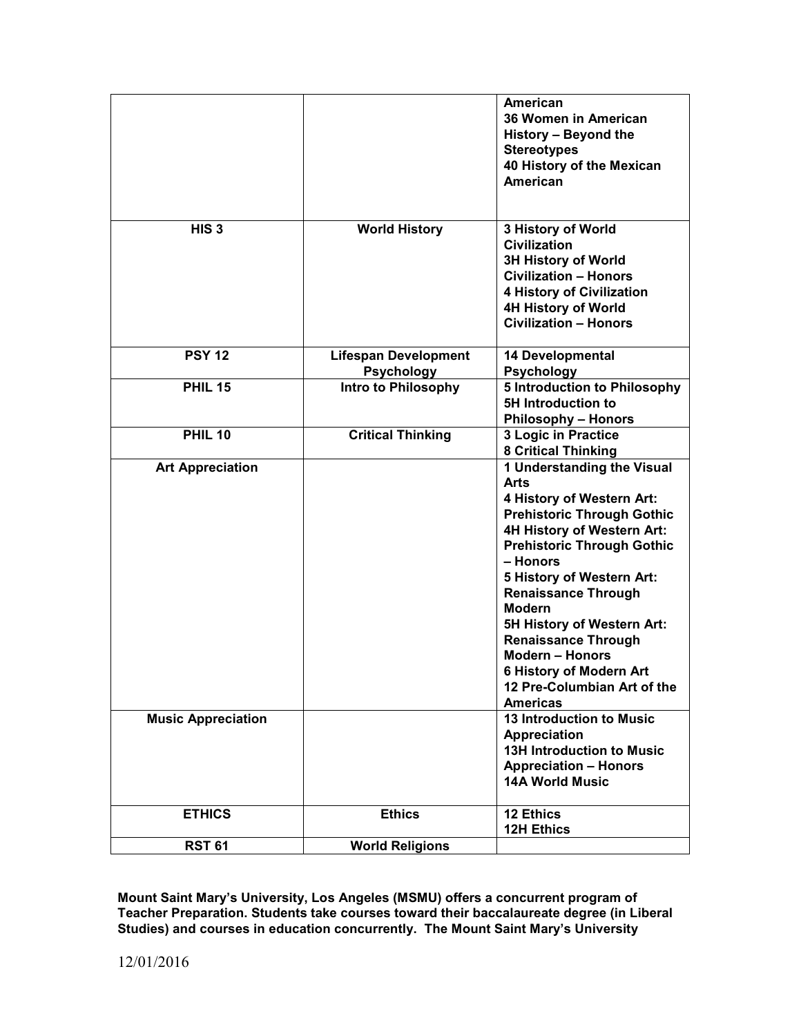|                           |                                                 | American<br>36 Women in American<br>History - Beyond the<br><b>Stereotypes</b><br>40 History of the Mexican<br>American                                                                                                                                                                                                                                                                                                                          |
|---------------------------|-------------------------------------------------|--------------------------------------------------------------------------------------------------------------------------------------------------------------------------------------------------------------------------------------------------------------------------------------------------------------------------------------------------------------------------------------------------------------------------------------------------|
| HIS <sub>3</sub>          | <b>World History</b>                            | 3 History of World<br><b>Civilization</b><br><b>3H History of World</b><br><b>Civilization - Honors</b><br><b>4 History of Civilization</b><br><b>4H History of World</b><br><b>Civilization - Honors</b>                                                                                                                                                                                                                                        |
| <b>PSY 12</b>             | <b>Lifespan Development</b>                     | 14 Developmental                                                                                                                                                                                                                                                                                                                                                                                                                                 |
| <b>PHIL 15</b>            | <b>Psychology</b><br><b>Intro to Philosophy</b> | <b>Psychology</b><br><b>5 Introduction to Philosophy</b>                                                                                                                                                                                                                                                                                                                                                                                         |
|                           |                                                 | <b>5H Introduction to</b><br><b>Philosophy - Honors</b>                                                                                                                                                                                                                                                                                                                                                                                          |
| <b>PHIL 10</b>            | <b>Critical Thinking</b>                        | 3 Logic in Practice<br><b>8 Critical Thinking</b>                                                                                                                                                                                                                                                                                                                                                                                                |
| <b>Art Appreciation</b>   |                                                 | 1 Understanding the Visual<br><b>Arts</b><br>4 History of Western Art:<br><b>Prehistoric Through Gothic</b><br>4H History of Western Art:<br><b>Prehistoric Through Gothic</b><br>- Honors<br>5 History of Western Art:<br><b>Renaissance Through</b><br><b>Modern</b><br>5H History of Western Art:<br><b>Renaissance Through</b><br><b>Modern - Honors</b><br><b>6 History of Modern Art</b><br>12 Pre-Columbian Art of the<br><b>Americas</b> |
| <b>Music Appreciation</b> |                                                 | 13 Introduction to Music<br><b>Appreciation</b><br><b>13H Introduction to Music</b><br><b>Appreciation - Honors</b><br><b>14A World Music</b>                                                                                                                                                                                                                                                                                                    |
| <b>ETHICS</b>             | <b>Ethics</b>                                   | 12 Ethics<br><b>12H Ethics</b>                                                                                                                                                                                                                                                                                                                                                                                                                   |
| <b>RST 61</b>             | <b>World Religions</b>                          |                                                                                                                                                                                                                                                                                                                                                                                                                                                  |

**Mount Saint Mary's University, Los Angeles (MSMU) offers a concurrent program of Teacher Preparation. Students take courses toward their baccalaureate degree (in Liberal Studies) and courses in education concurrently. The Mount Saint Mary's University**